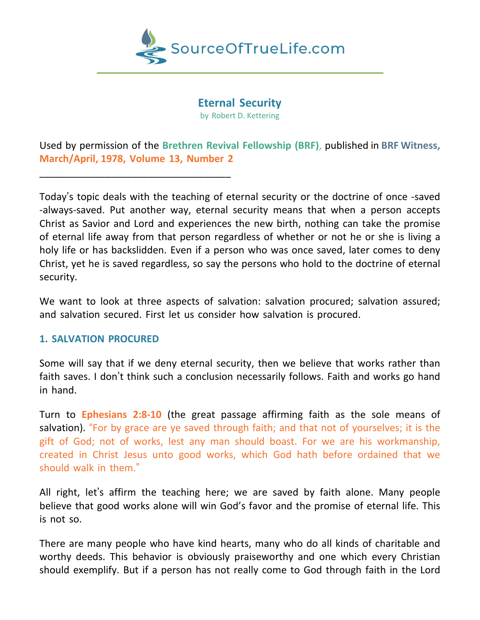

**Eternal Security** by Robert D. Kettering

Used by permission of the **Brethren Revival Fellowship (BRF)**, published in **BRF Witness, March/April, 1978, Volume 13, Number 2**

Today's topic deals with the teaching of eternal security or the doctrine of once -saved -always-saved. Put another way, eternal security means that when a person accepts Christ as Savior and Lord and experiences the new birth, nothing can take the promise of eternal life away from that person regardless of whether or not he or she is living a holy life or has backslidden. Even if a person who was once saved, later comes to deny Christ, yet he is saved regardless, so say the persons who hold to the doctrine of eternal security.

We want to look at three aspects of salvation: salvation procured; salvation assured; and salvation secured. First let us consider how salvation is procured.

## **1. SALVATION PROCURED**

\_\_\_\_\_\_\_\_\_\_\_\_\_\_\_\_\_\_\_\_\_\_\_\_\_\_\_\_\_\_\_\_\_\_\_

Some will say that if we deny eternal security, then we believe that works rather than faith saves. I don't think such a conclusion necessarily follows. Faith and works go hand in hand.

Turn to **Ephesians 2:8-10** (the great passage affirming faith as the sole means of salvation). "For by grace are ye saved through faith; and that not of yourselves; it is the gift of God; not of works, lest any man should boast. For we are his workmanship, created in Christ Jesus unto good works, which God hath before ordained that we should walk in them."

All right, let's affirm the teaching here; we are saved by faith alone. Many people believe that good works alone will win God's favor and the promise of eternal life. This is not so.

There are many people who have kind hearts, many who do all kinds of charitable and worthy deeds. This behavior is obviously praiseworthy and one which every Christian should exemplify. But if a person has not really come to God through faith in the Lord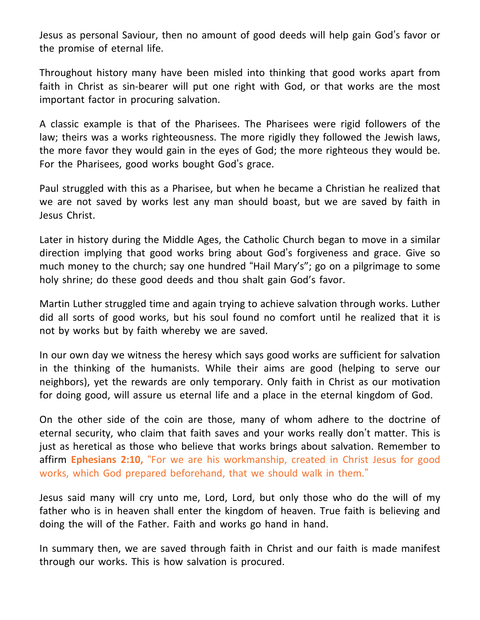Jesus as personal Saviour, then no amount of good deeds will help gain God's favor or the promise of eternal life.

Throughout history many have been misled into thinking that good works apart from faith in Christ as sin-bearer will put one right with God, or that works are the most important factor in procuring salvation.

A classic example is that of the Pharisees. The Pharisees were rigid followers of the law; theirs was a works righteousness. The more rigidly they followed the Jewish laws, the more favor they would gain in the eyes of God; the more righteous they would be. For the Pharisees, good works bought God's grace.

Paul struggled with this as a Pharisee, but when he became a Christian he realized that we are not saved by works lest any man should boast, but we are saved by faith in Jesus Christ.

Later in history during the Middle Ages, the Catholic Church began to move in a similar direction implying that good works bring about God's forgiveness and grace. Give so much money to the church; say one hundred "Hail Mary's"; go on a pilgrimage to some holy shrine; do these good deeds and thou shalt gain God's favor.

Martin Luther struggled time and again trying to achieve salvation through works. Luther did all sorts of good works, but his soul found no comfort until he realized that it is not by works but by faith whereby we are saved.

In our own day we witness the heresy which says good works are sufficient for salvation in the thinking of the humanists. While their aims are good (helping to serve our neighbors), yet the rewards are only temporary. Only faith in Christ as our motivation for doing good, will assure us eternal life and a place in the eternal kingdom of God.

On the other side of the coin are those, many of whom adhere to the doctrine of eternal security, who claim that faith saves and your works really don't matter. This is just as heretical as those who believe that works brings about salvation. Remember to affirm **Ephesians 2:10,** "For we are his workmanship, created in Christ Jesus for good works, which God prepared beforehand, that we should walk in them."

Jesus said many will cry unto me, Lord, Lord, but only those who do the will of my father who is in heaven shall enter the kingdom of heaven. True faith is believing and doing the will of the Father. Faith and works go hand in hand.

In summary then, we are saved through faith in Christ and our faith is made manifest through our works. This is how salvation is procured.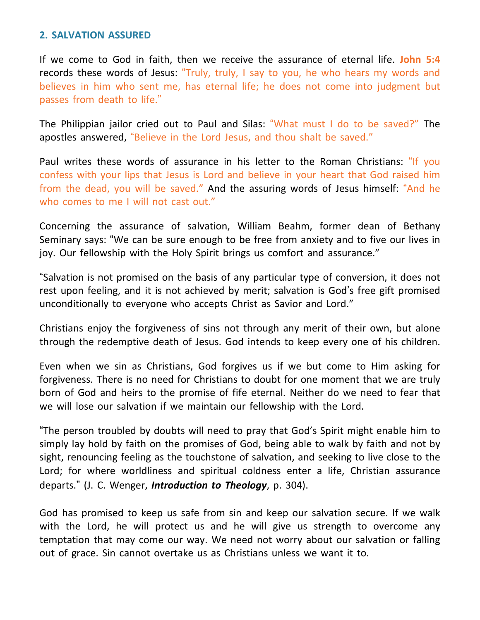## **2. SALVATION ASSURED**

If we come to God in faith, then we receive the assurance of eternal life. **John 5:4** records these words of Jesus: "Truly, truly, I say to you, he who hears my words and believes in him who sent me, has eternal life; he does not come into judgment but passes from death to life."

The Philippian jailor cried out to Paul and Silas: "What must I do to be saved?" The apostles answered, "Believe in the Lord Jesus, and thou shalt be saved."

Paul writes these words of assurance in his letter to the Roman Christians: "If you confess with your lips that Jesus is Lord and believe in your heart that God raised him from the dead, you will be saved." And the assuring words of Jesus himself: "And he who comes to me I will not cast out."

Concerning the assurance of salvation, William Beahm, former dean of Bethany Seminary says: "We can be sure enough to be free from anxiety and to five our lives in joy. Our fellowship with the Holy Spirit brings us comfort and assurance."

"Salvation is not promised on the basis of any particular type of conversion, it does not rest upon feeling, and it is not achieved by merit; salvation is God's free gift promised unconditionally to everyone who accepts Christ as Savior and Lord."

Christians enjoy the forgiveness of sins not through any merit of their own, but alone through the redemptive death of Jesus. God intends to keep every one of his children.

Even when we sin as Christians, God forgives us if we but come to Him asking for forgiveness. There is no need for Christians to doubt for one moment that we are truly born of God and heirs to the promise of fife eternal. Neither do we need to fear that we will lose our salvation if we maintain our fellowship with the Lord.

"The person troubled by doubts will need to pray that God's Spirit might enable him to simply lay hold by faith on the promises of God, being able to walk by faith and not by sight, renouncing feeling as the touchstone of salvation, and seeking to live close to the Lord; for where worldliness and spiritual coldness enter a life, Christian assurance departs." (J. C. Wenger, *Introduction to Theology*, p. 304).

God has promised to keep us safe from sin and keep our salvation secure. If we walk with the Lord, he will protect us and he will give us strength to overcome any temptation that may come our way. We need not worry about our salvation or falling out of grace. Sin cannot overtake us as Christians unless we want it to.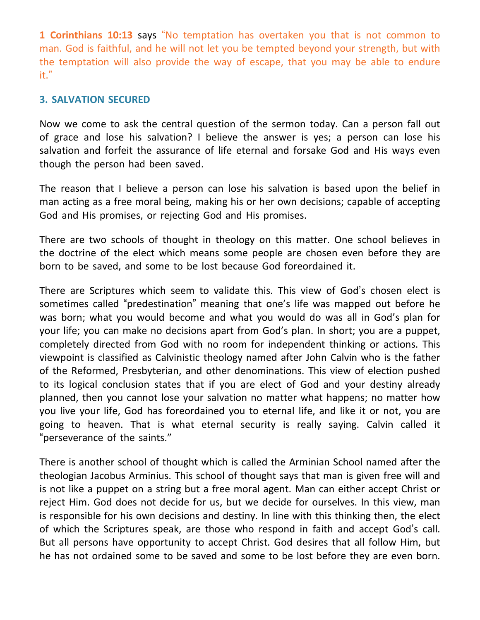**1 Corinthians 10:13** says "No temptation has overtaken you that is not common to man. God is faithful, and he will not let you be tempted beyond your strength, but with the temptation will also provide the way of escape, that you may be able to endure it."

## **3. SALVATION SECURED**

Now we come to ask the central question of the sermon today. Can a person fall out of grace and lose his salvation? I believe the answer is yes; a person can lose his salvation and forfeit the assurance of life eternal and forsake God and His ways even though the person had been saved.

The reason that I believe a person can lose his salvation is based upon the belief in man acting as a free moral being, making his or her own decisions; capable of accepting God and His promises, or rejecting God and His promises.

There are two schools of thought in theology on this matter. One school believes in the doctrine of the elect which means some people are chosen even before they are born to be saved, and some to be lost because God foreordained it.

There are Scriptures which seem to validate this. This view of God's chosen elect is sometimes called "predestination" meaning that one's life was mapped out before he was born; what you would become and what you would do was all in God's plan for your life; you can make no decisions apart from God's plan. In short; you are a puppet, completely directed from God with no room for independent thinking or actions. This viewpoint is classified as Calvinistic theology named after John Calvin who is the father of the Reformed, Presbyterian, and other denominations. This view of election pushed to its logical conclusion states that if you are elect of God and your destiny already planned, then you cannot lose your salvation no matter what happens; no matter how you live your life, God has foreordained you to eternal life, and like it or not, you are going to heaven. That is what eternal security is really saying. Calvin called it "perseverance of the saints."

There is another school of thought which is called the Arminian School named after the theologian Jacobus Arminius. This school of thought says that man is given free will and is not like a puppet on a string but a free moral agent. Man can either accept Christ or reject Him. God does not decide for us, but we decide for ourselves. In this view, man is responsible for his own decisions and destiny. In line with this thinking then, the elect of which the Scriptures speak, are those who respond in faith and accept God's call. But all persons have opportunity to accept Christ. God desires that all follow Him, but he has not ordained some to be saved and some to be lost before they are even born.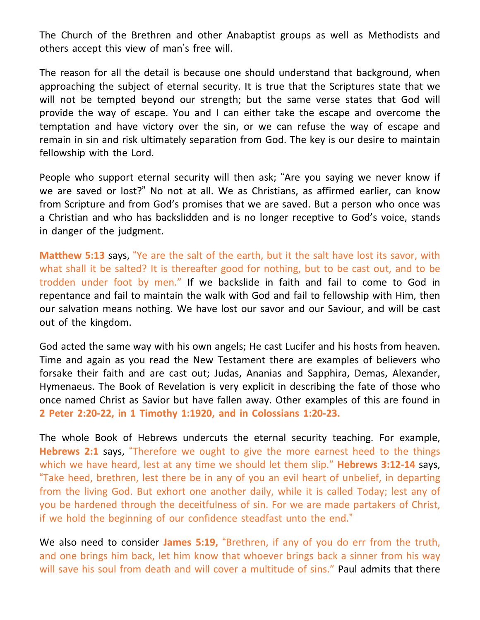The Church of the Brethren and other Anabaptist groups as well as Methodists and others accept this view of man's free will.

The reason for all the detail is because one should understand that background, when approaching the subject of eternal security. It is true that the Scriptures state that we will not be tempted beyond our strength; but the same verse states that God will provide the way of escape. You and I can either take the escape and overcome the temptation and have victory over the sin, or we can refuse the way of escape and remain in sin and risk ultimately separation from God. The key is our desire to maintain fellowship with the Lord.

People who support eternal security will then ask; "Are you saying we never know if we are saved or lost?" No not at all. We as Christians, as affirmed earlier, can know from Scripture and from God's promises that we are saved. But a person who once was a Christian and who has backslidden and is no longer receptive to God's voice, stands in danger of the judgment.

**Matthew 5:13** says, "Ye are the salt of the earth, but it the salt have lost its savor, with what shall it be salted? It is thereafter good for nothing, but to be cast out, and to be trodden under foot by men." If we backslide in faith and fail to come to God in repentance and fail to maintain the walk with God and fail to fellowship with Him, then our salvation means nothing. We have lost our savor and our Saviour, and will be cast out of the kingdom.

God acted the same way with his own angels; He cast Lucifer and his hosts from heaven. Time and again as you read the New Testament there are examples of believers who forsake their faith and are cast out; Judas, Ananias and Sapphira, Demas, Alexander, Hymenaeus. The Book of Revelation is very explicit in describing the fate of those who once named Christ as Savior but have fallen away. Other examples of this are found in **2 Peter 2:20-22, in 1 Timothy 1:1920, and in Colossians 1:20-23.**

The whole Book of Hebrews undercuts the eternal security teaching. For example, **Hebrews 2:1** says, "Therefore we ought to give the more earnest heed to the things which we have heard, lest at any time we should let them slip." **Hebrews 3:12-14** says, "Take heed, brethren, lest there be in any of you an evil heart of unbelief, in departing from the living God. But exhort one another daily, while it is called Today; lest any of you be hardened through the deceitfulness of sin. For we are made partakers of Christ, if we hold the beginning of our confidence steadfast unto the end."

We also need to consider **James 5:19,** "Brethren, if any of you do err from the truth, and one brings him back, let him know that whoever brings back a sinner from his way will save his soul from death and will cover a multitude of sins." Paul admits that there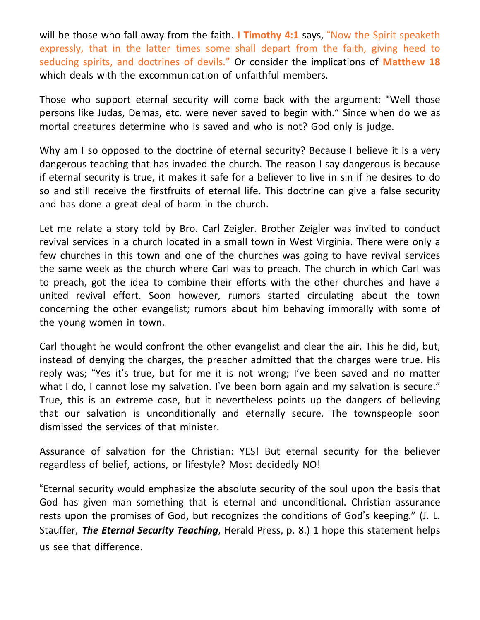will be those who fall away from the faith. **I Timothy 4:1** says, "Now the Spirit speaketh expressly, that in the latter times some shall depart from the faith, giving heed to seducing spirits, and doctrines of devils." Or consider the implications of **Matthew 18** which deals with the excommunication of unfaithful members.

Those who support eternal security will come back with the argument: "Well those persons like Judas, Demas, etc. were never saved to begin with." Since when do we as mortal creatures determine who is saved and who is not? God only is judge.

Why am I so opposed to the doctrine of eternal security? Because I believe it is a very dangerous teaching that has invaded the church. The reason I say dangerous is because if eternal security is true, it makes it safe for a believer to live in sin if he desires to do so and still receive the firstfruits of eternal life. This doctrine can give a false security and has done a great deal of harm in the church.

Let me relate a story told by Bro. Carl Zeigler. Brother Zeigler was invited to conduct revival services in a church located in a small town in West Virginia. There were only a few churches in this town and one of the churches was going to have revival services the same week as the church where Carl was to preach. The church in which Carl was to preach, got the idea to combine their efforts with the other churches and have a united revival effort. Soon however, rumors started circulating about the town concerning the other evangelist; rumors about him behaving immorally with some of the young women in town.

Carl thought he would confront the other evangelist and clear the air. This he did, but, instead of denying the charges, the preacher admitted that the charges were true. His reply was; "Yes it's true, but for me it is not wrong; I've been saved and no matter what I do, I cannot lose my salvation. I've been born again and my salvation is secure." True, this is an extreme case, but it nevertheless points up the dangers of believing that our salvation is unconditionally and eternally secure. The townspeople soon dismissed the services of that minister.

Assurance of salvation for the Christian: YES! But eternal security for the believer regardless of belief, actions, or lifestyle? Most decidedly NO!

"Eternal security would emphasize the absolute security of the soul upon the basis that God has given man something that is eternal and unconditional. Christian assurance rests upon the promises of God, but recognizes the conditions of God's keeping." (J. L. Stauffer, *The Eternal Security Teaching*, Herald Press, p. 8.) 1 hope this statement helps us see that difference.